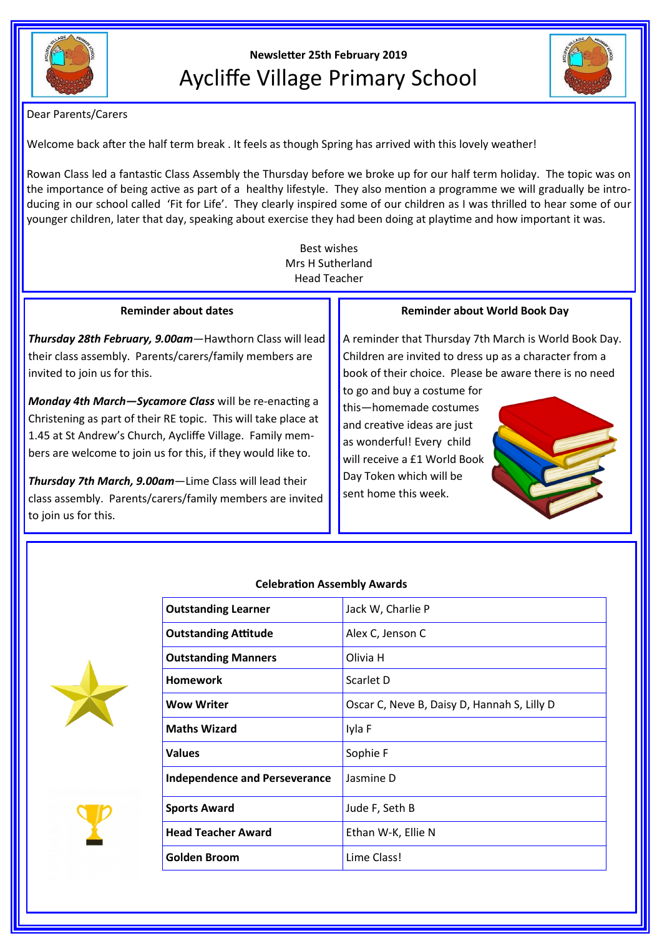

**Newsletter 25th February 2019** Aycliffe Village Primary School



Dear Parents/Carers

Welcome back after the half term break . It feels as though Spring has arrived with this lovely weather!

Rowan Class led a fantastic Class Assembly the Thursday before we broke up for our half term holiday. The topic was on the importance of being active as part of a healthy lifestyle. They also mention a programme we will gradually be introducing in our school called 'Fit for Life'. They clearly inspired some of our children as I was thrilled to hear some of our younger children, later that day, speaking about exercise they had been doing at playtime and how important it was.

> Best wishes Mrs H Sutherland Head Teacher

# **Reminder about dates**

*Thursday 28th February, 9.00am*—Hawthorn Class will lead their class assembly. Parents/carers/family members are invited to join us for this.

*Monday 4th March—Sycamore Class* will be re-enacting a Christening as part of their RE topic. This will take place at 1.45 at St Andrew's Church, Aycliffe Village. Family members are welcome to join us for this, if they would like to.

*Thursday 7th March, 9.00am*—Lime Class will lead their class assembly. Parents/carers/family members are invited to join us for this.

# **Reminder about World Book Day**

A reminder that Thursday 7th March is World Book Day. Children are invited to dress up as a character from a book of their choice. Please be aware there is no need

to go and buy a costume for this—homemade costumes and creative ideas are just as wonderful! Every child will receive a £1 World Book Day Token which will be sent home this week.







# **Celebration Assembly Awards**

| <b>Outstanding Learner</b>           | Jack W, Charlie P                           |
|--------------------------------------|---------------------------------------------|
| <b>Outstanding Attitude</b>          | Alex C, Jenson C                            |
| <b>Outstanding Manners</b>           | Olivia H                                    |
| Homework                             | Scarlet D                                   |
| <b>Wow Writer</b>                    | Oscar C, Neve B, Daisy D, Hannah S, Lilly D |
| <b>Maths Wizard</b>                  | Iyla F                                      |
| <b>Values</b>                        | Sophie F                                    |
| <b>Independence and Perseverance</b> | Jasmine D                                   |
| <b>Sports Award</b>                  | Jude F, Seth B                              |
| <b>Head Teacher Award</b>            | Ethan W-K, Ellie N                          |
| Golden Broom                         | Lime Class!                                 |